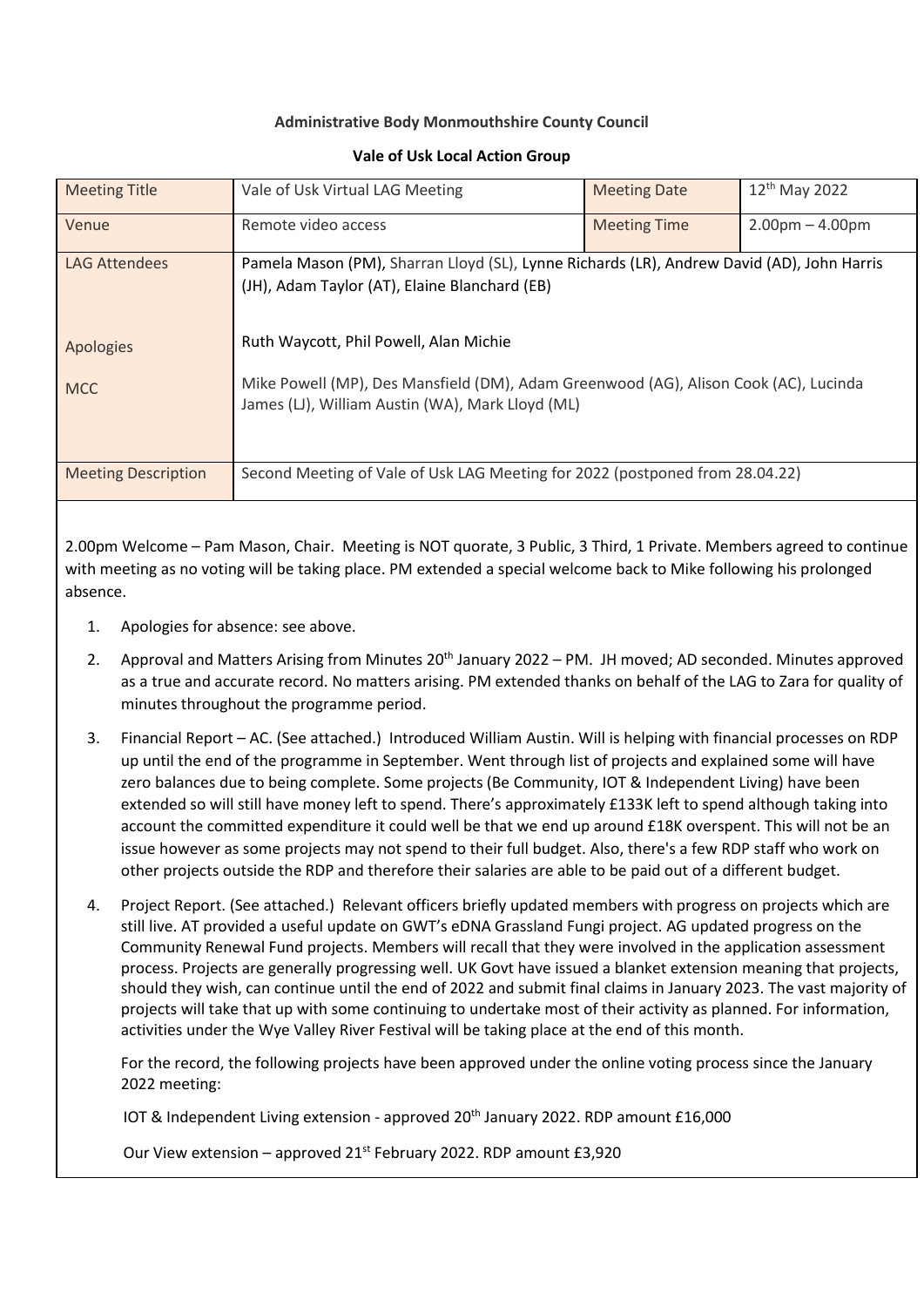## **Administrative Body Monmouthshire County Council**

## Meeting Title Vale of Usk Virtual LAG Meeting Meeting Date 12<sup>th</sup> May 2022 Venue Remote video access Meeting Time 2.00pm – 4.00pm LAG Attendees Apologies MCC Pamela Mason (PM), Sharran Lloyd (SL), Lynne Richards (LR), Andrew David (AD), John Harris (JH), Adam Taylor (AT), Elaine Blanchard (EB) Ruth Waycott, Phil Powell, Alan Michie Mike Powell (MP), Des Mansfield (DM), Adam Greenwood (AG), Alison Cook (AC), Lucinda James (LJ), William Austin (WA), Mark Lloyd (ML) Meeting Description Second Meeting of Vale of Usk LAG Meeting for 2022 (postponed from 28.04.22)

## **Vale of Usk Local Action Group**

2.00pm Welcome – Pam Mason, Chair. Meeting is NOT quorate, 3 Public, 3 Third, 1 Private. Members agreed to continue with meeting as no voting will be taking place. PM extended a special welcome back to Mike following his prolonged absence.

- 1. Apologies for absence: see above.
- 2. Approval and Matters Arising from Minutes 20<sup>th</sup> January 2022 PM. JH moved; AD seconded. Minutes approved as a true and accurate record. No matters arising. PM extended thanks on behalf of the LAG to Zara for quality of minutes throughout the programme period.
- 3. Financial Report AC. (See attached.) Introduced William Austin. Will is helping with financial processes on RDP up until the end of the programme in September. Went through list of projects and explained some will have zero balances due to being complete. Some projects (Be Community, IOT & Independent Living) have been extended so will still have money left to spend. There's approximately £133K left to spend although taking into account the committed expenditure it could well be that we end up around £18K overspent. This will not be an issue however as some projects may not spend to their full budget. Also, there's a few RDP staff who work on other projects outside the RDP and therefore their salaries are able to be paid out of a different budget.
- 4. Project Report. (See attached.) Relevant officers briefly updated members with progress on projects which are still live. AT provided a useful update on GWT's eDNA Grassland Fungi project. AG updated progress on the Community Renewal Fund projects. Members will recall that they were involved in the application assessment process. Projects are generally progressing well. UK Govt have issued a blanket extension meaning that projects, should they wish, can continue until the end of 2022 and submit final claims in January 2023. The vast majority of projects will take that up with some continuing to undertake most of their activity as planned. For information, activities under the Wye Valley River Festival will be taking place at the end of this month.

For the record, the following projects have been approved under the online voting process since the January 2022 meeting:

IOT & Independent Living extension - approved 20th January 2022. RDP amount £16,000

Our View extension – approved  $21^{st}$  February 2022. RDP amount £3,920